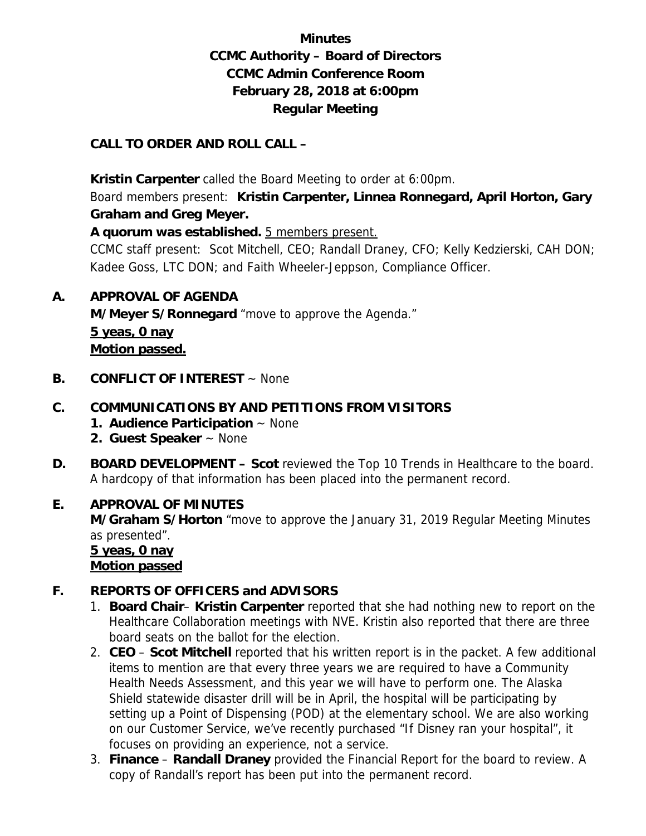# **Minutes CCMC Authority – Board of Directors CCMC Admin Conference Room February 28, 2018 at 6:00pm Regular Meeting**

#### **CALL TO ORDER AND ROLL CALL –**

 **Kristin Carpenter** called the Board Meeting to order at 6:00pm.

Board members present: **Kristin Carpenter, Linnea Ronnegard, April Horton, Gary Graham and Greg Meyer.** 

**A quorum was established.** 5 members present.

CCMC staff present: Scot Mitchell, CEO; Randall Draney, CFO; Kelly Kedzierski, CAH DON; Kadee Goss, LTC DON; and Faith Wheeler-Jeppson, Compliance Officer.

**A. APPROVAL OF AGENDA** 

 **M/Meyer S/Ronnegard** "move to approve the Agenda."

**5 yeas, 0 nay Motion passed.** 

**B. CONFLICT OF INTEREST** ~ None

## **C. COMMUNICATIONS BY AND PETITIONS FROM VISITORS**

- **1. Audience Participation** ~ None
- **2. Guest Speaker** ~ None
- **D. BOARD DEVELOPMENT Scot** reviewed the Top 10 Trends in Healthcare to the board. A hardcopy of that information has been placed into the permanent record.

## **E. APPROVAL OF MINUTES**

**M/Graham S/Horton** "move to approve the January 31, 2019 Regular Meeting Minutes as presented".

 **5 yeas, 0 nay Motion passed**

## **F. REPORTS OF OFFICERS and ADVISORS**

- 1. **Board Chair Kristin Carpenter** reported that she had nothing new to report on the Healthcare Collaboration meetings with NVE. Kristin also reported that there are three board seats on the ballot for the election.
- 2. **CEO Scot Mitchell** reported that his written report is in the packet. A few additional items to mention are that every three years we are required to have a Community Health Needs Assessment, and this year we will have to perform one. The Alaska Shield statewide disaster drill will be in April, the hospital will be participating by setting up a Point of Dispensing (POD) at the elementary school. We are also working on our Customer Service, we've recently purchased "If Disney ran your hospital", it focuses on providing an experience, not a service.
- 3. **Finance Randall Draney** provided the Financial Report for the board to review. A copy of Randall's report has been put into the permanent record.